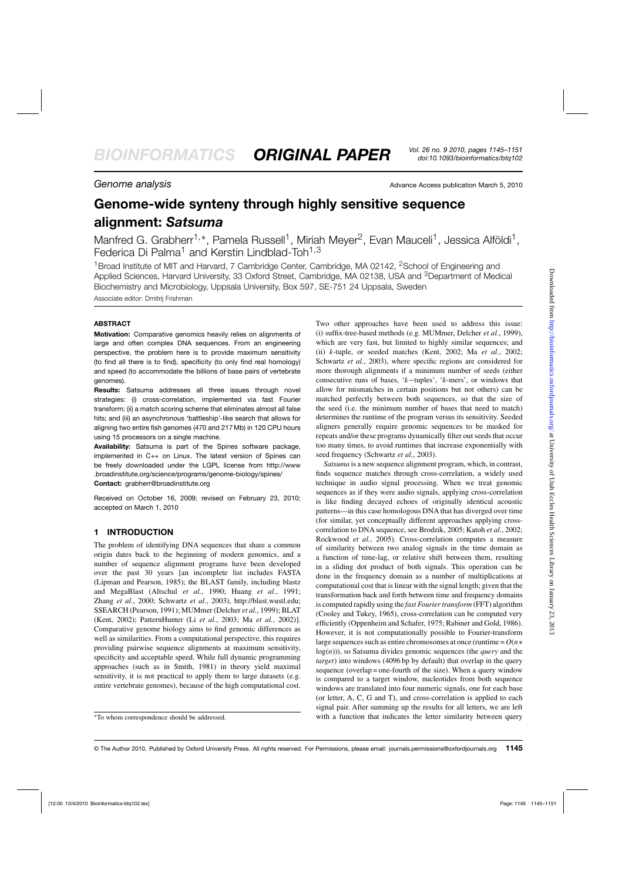**Genome analysis** Advance Access publication March 5, 2010

# **Genome-wide synteny through highly sensitive sequence alignment:** *Satsuma*

Manfred G. Grabherr<sup>1,\*</sup>, Pamela Russell<sup>1</sup>, Miriah Meyer<sup>2</sup>, Evan Mauceli<sup>1</sup>, Jessica Alföldi<sup>1</sup>, Federica Di Palma<sup>1</sup> and Kerstin Lindblad-Toh<sup>1,3</sup>

<sup>1</sup>Broad Institute of MIT and Harvard, 7 Cambridge Center, Cambridge, MA 02142, <sup>2</sup>School of Engineering and Applied Sciences, Harvard University, 33 Oxford Street, Cambridge, MA 02138, USA and <sup>3</sup>Department of Medical Biochemistry and Microbiology, Uppsala University, Box 597, SE-751 24 Uppsala, Sweden Associate editor: Dmitrij Frishman

# **ABSTRACT**

**Motivation:** Comparative genomics heavily relies on alignments of large and often complex DNA sequences. From an engineering perspective, the problem here is to provide maximum sensitivity (to find all there is to find), specificity (to only find real homology) and speed (to accommodate the billions of base pairs of vertebrate genomes).

**Results:** Satsuma addresses all three issues through novel strategies: (i) cross-correlation, implemented via fast Fourier transform; (ii) a match scoring scheme that eliminates almost all false hits; and (iii) an asynchronous 'battleship'-like search that allows for aligning two entire fish genomes (470 and 217 Mb) in 120 CPU hours using 15 processors on a single machine.

**Availability:** Satsuma is part of the Spines software package, implemented in C++ on Linux. The latest version of Spines can be freely downloaded under the LGPL license from<http://www> .broadinstitute.org/science/programs/genome-biology/spines/ **Contact:** grabherr@broadinstitute.org

Received on October 16, 2009; revised on February 23, 2010; accepted on March 1, 2010

# **1 INTRODUCTION**

The problem of identifying DNA sequences that share a common origin dates back to the beginning of modern genomics, and a number of sequence alignment programs have been developed over the past 30 years [an incomplete list includes FASTA (Lipman and Pearson, 1985); the BLAST family, including blastz and MegaBlast (Altschul *et al.*, 1990; Huang *et al.*, 1991; Zhang *et al.*, 2000; Schwartz *et al.*, 2003), [http://blast.wustl.edu;](http://blast.wustl.edu) SSEARCH (Pearson, 1991); MUMmer (Delcher *et al.*, 1999); BLAT (Kent, 2002); PatternHunter (Li *et al.*, 2003; Ma *et al.*, 2002)]. Comparative genome biology aims to find genomic differences as well as similarities. From a computational perspective, this requires providing pairwise sequence alignments at maximum sensitivity, specificity and acceptable speed. While full dynamic programming approaches (such as in Smith, 1981) in theory yield maximal sensitivity, it is not practical to apply them to large datasets (e.g. entire vertebrate genomes), because of the high computational cost.

Two other approaches have been used to address this issue: (i) suffix-tree-based methods (e.g. MUMmer, Delcher *et al.*, 1999), which are very fast, but limited to highly similar sequences; and (ii) *k*-tuple, or seeded matches (Kent, 2002; Ma *et al.*, 2002; Schwartz *et al.*, 2003), where specific regions are considered for more thorough alignments if a minimum number of seeds (either consecutive runs of bases, '*k*−tuples', '*k*-mers', or windows that allow for mismatches in certain positions but not others) can be matched perfectly between both sequences, so that the size of the seed (i.e. the minimum number of bases that need to match) determines the runtime of the program versus its sensitivity. Seeded aligners generally require genomic sequences to be masked for repeats and/or these programs dynamically filter out seeds that occur too many times, to avoid runtimes that increase exponentially with seed frequency (Schwartz *et al.*, 2003).

*Satsuma* is a new sequence alignment program, which, in contrast, finds sequence matches through cross-correlation, a widely used technique in audio signal processing. When we treat genomic sequences as if they were audio signals, applying cross-correlation is like finding decayed echoes of originally identical acoustic patterns—in this case homologous DNA that has diverged over time (for similar, yet conceptually different approaches applying crosscorrelation to DNA sequence, see Brodzik, 2005; Katoh *et al.*, 2002; Rockwood *et al.*, 2005). Cross-correlation computes a measure of similarity between two analog signals in the time domain as a function of time-lag, or relative shift between them, resulting in a sliding dot product of both signals. This operation can be done in the frequency domain as a number of multiplications at computational cost that is linear with the signal length; given that the transformation back and forth between time and frequency domains is computed rapidly using the *fast Fourier transform* (FFT) algorithm (Cooley and Tukey, 1965), cross-correlation can be computed very efficiently (Oppenheim and Schafer, 1975; Rabiner and Gold, 1986). However, it is not computationally possible to Fourier-transform large sequences such as entire chromosomes at once (runtime = *O*(*n*∗ log(*n*))), so Satsuma divides genomic sequences (the *query* and the *target*) into windows (4096 bp by default) that overlap in the query sequence (overlap = one-fourth of the size). When a query window is compared to a target window, nucleotides from both sequence windows are translated into four numeric signals, one for each base (or letter, A, C, G and T), and cross-correlation is applied to each signal pair. After summing up the results for all letters, we are left with a function that indicates the letter similarity between query

<sup>∗</sup>To whom correspondence should be addressed.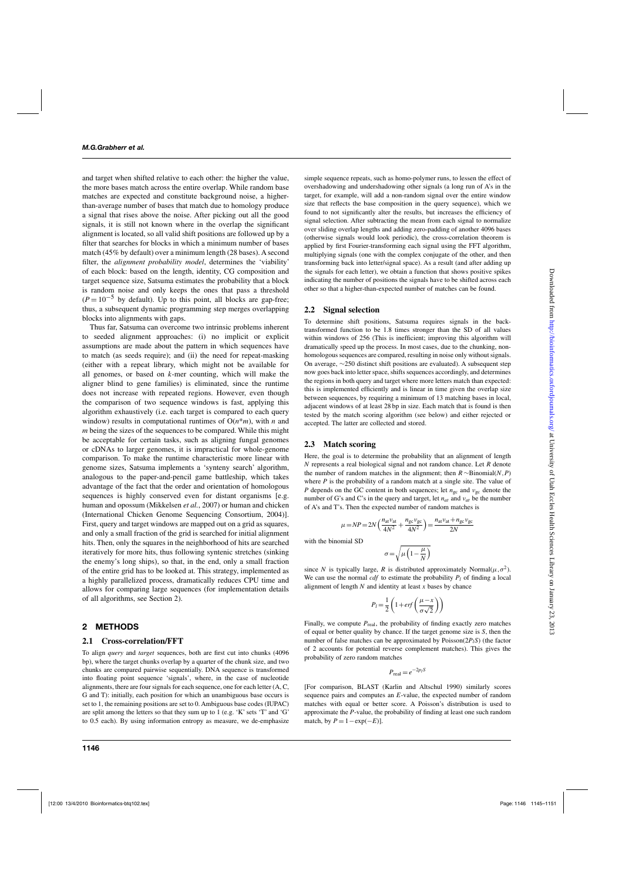and target when shifted relative to each other: the higher the value, the more bases match across the entire overlap. While random base matches are expected and constitute background noise, a higherthan-average number of bases that match due to homology produce a signal that rises above the noise. After picking out all the good signals, it is still not known where in the overlap the significant alignment is located, so all valid shift positions are followed up by a filter that searches for blocks in which a minimum number of bases match (45% by default) over a minimum length (28 bases). A second filter, the *alignment probability model*, determines the 'viability' of each block: based on the length, identity, CG composition and target sequence size, Satsuma estimates the probability that a block is random noise and only keeps the ones that pass a threshold  $(P = 10^{-5}$  by default). Up to this point, all blocks are gap-free; thus, a subsequent dynamic programming step merges overlapping blocks into alignments with gaps.

Thus far, Satsuma can overcome two intrinsic problems inherent to seeded alignment approaches: (i) no implicit or explicit assumptions are made about the pattern in which sequences have to match (as seeds require); and (ii) the need for repeat-masking (either with a repeat library, which might not be available for all genomes, or based on *k*-mer counting, which will make the aligner blind to gene families) is eliminated, since the runtime does not increase with repeated regions. However, even though the comparison of two sequence windows is fast, applying this algorithm exhaustively (i.e. each target is compared to each query window) results in computational runtimes of O(*n*\**m*), with *n* and *m* being the sizes of the sequences to be compared. While this might be acceptable for certain tasks, such as aligning fungal genomes or cDNAs to larger genomes, it is impractical for whole-genome comparison. To make the runtime characteristic more linear with genome sizes, Satsuma implements a 'synteny search' algorithm, analogous to the paper-and-pencil game battleship, which takes advantage of the fact that the order and orientation of homologous sequences is highly conserved even for distant organisms [e.g. human and opossum (Mikkelsen *et al.*, 2007) or human and chicken (International Chicken Genome Sequencing Consortium, 2004)]. First, query and target windows are mapped out on a grid as squares, and only a small fraction of the grid is searched for initial alignment hits. Then, only the squares in the neighborhood of hits are searched iteratively for more hits, thus following syntenic stretches (sinking the enemy's long ships), so that, in the end, only a small fraction of the entire grid has to be looked at. This strategy, implemented as a highly parallelized process, dramatically reduces CPU time and allows for comparing large sequences (for implementation details of all algorithms, see Section 2).

#### **2 METHODS**

#### **2.1 Cross-correlation/FFT**

To align *query* and *target* sequences, both are first cut into chunks (4096 bp), where the target chunks overlap by a quarter of the chunk size, and two chunks are compared pairwise sequentially. DNA sequence is transformed into floating point sequence 'signals', where, in the case of nucleotide alignments, there are four signals for each sequence, one for each letter (A, C, G and T): initially, each position for which an unambiguous base occurs is set to 1, the remaining positions are set to 0. Ambiguous base codes (IUPAC) are split among the letters so that they sum up to 1 (e.g. 'K' sets 'T' and 'G' to 0.5 each). By using information entropy as measure, we de-emphasize simple sequence repeats, such as homo-polymer runs, to lessen the effect of overshadowing and undershadowing other signals (a long run of A's in the target, for example, will add a non-random signal over the entire window size that reflects the base composition in the query sequence), which we found to not significantly alter the results, but increases the efficiency of signal selection. After subtracting the mean from each signal to normalize over sliding overlap lengths and adding zero-padding of another 4096 bases (otherwise signals would look periodic), the cross-correlation theorem is applied by first Fourier-transforming each signal using the FFT algorithm, multiplying signals (one with the complex conjugate of the other, and then transforming back into letter/signal space). As a result (and after adding up the signals for each letter), we obtain a function that shows positive spikes indicating the number of positions the signals have to be shifted across each other so that a higher-than-expected number of matches can be found.

#### **2.2 Signal selection**

To determine shift positions, Satsuma requires signals in the backtransformed function to be 1.8 times stronger than the SD of all values within windows of 256 (This is inefficient; improving this algorithm will dramatically speed up the process. In most cases, due to the chunking, nonhomologous sequences are compared, resulting in noise only without signals. On average, ∼250 distinct shift positions are evaluated). A subsequent step now goes back into letter space, shifts sequences accordingly, and determines the regions in both query and target where more letters match than expected: this is implemented efficiently and is linear in time given the overlap size between sequences, by requiring a minimum of 13 matching bases in local, adjacent windows of at least 28 bp in size. Each match that is found is then tested by the match scoring algorithm (see below) and either rejected or accepted. The latter are collected and stored.

#### **2.3 Match scoring**

Here, the goal is to determine the probability that an alignment of length *N* represents a real biological signal and not random chance. Let *R* denote the number of random matches in the alignment; then *R* ∼Binomial(*N*,*P*) where *P* is the probability of a random match at a single site. The value of *P* depends on the GC content in both sequences; let *n*<sub>gc</sub> and ν<sub>gc</sub> denote the number of G's and C's in the query and target, let  $n_{at}$  and  $v_{at}$  be the number of A's and T's. Then the expected number of random matches is

$$
\mu = NP = 2N \left( \frac{n_{\text{at}} v_{\text{at}}}{4N^2} + \frac{n_{\text{gc}} v_{\text{gc}}}{4N^2} \right) = \frac{n_{\text{at}} v_{\text{at}} + n_{\text{gc}} v_{\text{gc}}}{2N}
$$

with the binomial SD

$$
\sigma\!=\!\sqrt{\mu\left(1\!-\!\frac{\mu}{N}\right)}
$$

since *N* is typically large, *R* is distributed approximately Normal $(\mu, \sigma^2)$ . We can use the normal *cdf* to estimate the probability  $P_l$  of finding a local alignment of length *N* and identity at least *x* bases by chance

$$
P_l = \frac{1}{2} \left( 1 + erf\left(\frac{\mu - x}{\sigma \sqrt{2}}\right) \right)
$$

Finally, we compute  $P_{\text{real}}$ , the probability of finding exactly zero matches of equal or better quality by chance. If the target genome size is *S*, then the number of false matches can be approximated by  $Poisson(2P<sub>l</sub>S)$  (the factor of 2 accounts for potential reverse complement matches). This gives the probability of zero random matches

$$
P_{\text{real}} = e^{-2p_l S}
$$

[For comparison, BLAST (Karlin and Altschul 1990) similarly scores sequence pairs and computes an *E*-value, the expected number of random matches with equal or better score. A Poisson's distribution is used to approximate the *P*-value, the probability of finding at least one such random match, by  $P = 1 - \exp(-E)$ .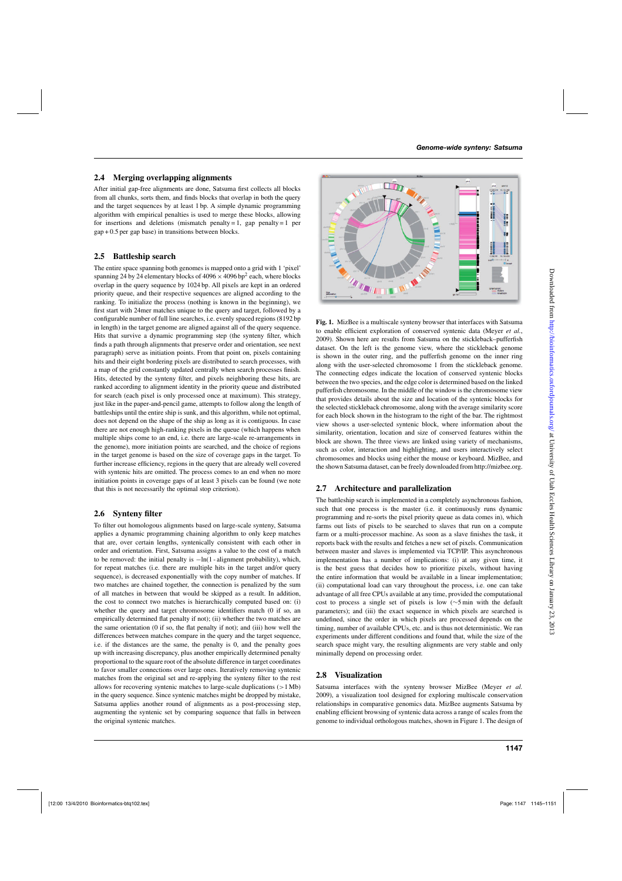#### **2.4 Merging overlapping alignments**

After initial gap-free alignments are done, Satsuma first collects all blocks from all chunks, sorts them, and finds blocks that overlap in both the query and the target sequences by at least 1 bp. A simple dynamic programming algorithm with empirical penalties is used to merge these blocks, allowing for insertions and deletions (mismatch penalty = 1, gap penalty =  $1$  per gap + 0.5 per gap base) in transitions between blocks.

#### **2.5 Battleship search**

The entire space spanning both genomes is mapped onto a grid with 1 'pixel' spanning 24 by 24 elementary blocks of  $4096 \times 4096$  bp<sup>2</sup> each, where blocks overlap in the query sequence by 1024 bp. All pixels are kept in an ordered priority queue, and their respective sequences are aligned according to the ranking. To initialize the process (nothing is known in the beginning), we first start with 24mer matches unique to the query and target, followed by a configurable number of full line searches, i.e. evenly spaced regions (8192 bp in length) in the target genome are aligned against all of the query sequence. Hits that survive a dynamic programming step (the synteny filter, which finds a path through alignments that preserve order and orientation, see next paragraph) serve as initiation points. From that point on, pixels containing hits and their eight bordering pixels are distributed to search processes, with a map of the grid constantly updated centrally when search processes finish. Hits, detected by the synteny filter, and pixels neighboring these hits, are ranked according to alignment identity in the priority queue and distributed for search (each pixel is only processed once at maximum). This strategy, just like in the paper-and-pencil game, attempts to follow along the length of battleships until the entire ship is sunk, and this algorithm, while not optimal, does not depend on the shape of the ship as long as it is contiguous. In case there are not enough high-ranking pixels in the queue (which happens when multiple ships come to an end, i.e. there are large-scale re-arrangements in the genome), more initiation points are searched, and the choice of regions in the target genome is based on the size of coverage gaps in the target. To further increase efficiency, regions in the query that are already well covered with syntenic hits are omitted. The process comes to an end when no more initiation points in coverage gaps of at least 3 pixels can be found (we note that this is not necessarily the optimal stop criterion).

# **2.6 Synteny filter**

To filter out homologous alignments based on large-scale synteny, Satsuma applies a dynamic programming chaining algorithm to only keep matches that are, over certain lengths, syntenically consistent with each other in order and orientation. First, Satsuma assigns a value to the cost of a match to be removed: the initial penalty is  $-\ln(1 - \text{alignment probability})$ , which, for repeat matches (i.e. there are multiple hits in the target and/or query sequence), is decreased exponentially with the copy number of matches. If two matches are chained together, the connection is penalized by the sum of all matches in between that would be skipped as a result. In addition, the cost to connect two matches is hierarchically computed based on: (i) whether the query and target chromosome identifiers match (0 if so, an empirically determined flat penalty if not); (ii) whether the two matches are the same orientation (0 if so, the flat penalty if not); and (iii) how well the differences between matches compare in the query and the target sequence, i.e. if the distances are the same, the penalty is 0, and the penalty goes up with increasing discrepancy, plus another empirically determined penalty proportional to the square root of the absolute difference in target coordinates to favor smaller connections over large ones. Iteratively removing syntenic matches from the original set and re-applying the synteny filter to the rest allows for recovering syntenic matches to large-scale duplications (>1 Mb) in the query sequence. Since syntenic matches might be dropped by mistake, Satsuma applies another round of alignments as a post-processing step, augmenting the syntenic set by comparing sequence that falls in between the original syntenic matches.



**Fig. 1.** MizBee is a multiscale synteny browser that interfaces with Satsuma to enable efficient exploration of conserved syntenic data (Meyer *et al.*, 2009). Shown here are results from Satsuma on the stickleback–pufferfish dataset. On the left is the genome view, where the stickleback genome is shown in the outer ring, and the pufferfish genome on the inner ring along with the user-selected chromosome 1 from the stickleback genome. The connecting edges indicate the location of conserved syntenic blocks between the two species, and the edge color is determined based on the linked pufferfish chromosome. In the middle of the window is the chromosome view that provides details about the size and location of the syntenic blocks for the selected stickleback chromosome, along with the average similarity score for each block shown in the histogram to the right of the bar. The rightmost view shows a user-selected syntenic block, where information about the similarity, orientation, location and size of conserved features within the block are shown. The three views are linked using variety of mechanisms, such as color, interaction and highlighting, and users interactively select chromosomes and blocks using either the mouse or keyboard. MizBee, and the shown Satsuma dataset, can be freely downloaded from [http://mizbee.org.](http://mizbee.org)

# **2.7 Architecture and parallelization**

The battleship search is implemented in a completely asynchronous fashion, such that one process is the master (i.e. it continuously runs dynamic programming and re-sorts the pixel priority queue as data comes in), which farms out lists of pixels to be searched to slaves that run on a compute farm or a multi-processor machine. As soon as a slave finishes the task, it reports back with the results and fetches a new set of pixels. Communication between master and slaves is implemented via TCP/IP. This asynchronous implementation has a number of implications: (i) at any given time, it is the best guess that decides how to prioritize pixels, without having the entire information that would be available in a linear implementation; (ii) computational load can vary throughout the process, i.e. one can take advantage of all free CPUs available at any time, provided the computational cost to process a single set of pixels is low (∼5 min with the default parameters); and (iii) the exact sequence in which pixels are searched is undefined, since the order in which pixels are processed depends on the timing, number of available CPUs, etc. and is thus not deterministic. We ran experiments under different conditions and found that, while the size of the search space might vary, the resulting alignments are very stable and only minimally depend on processing order.

# **2.8 Visualization**

Satsuma interfaces with the synteny browser MizBee (Meyer *et al.* 2009), a visualization tool designed for exploring multiscale conservation relationships in comparative genomics data. MizBee augments Satsuma by enabling efficient browsing of syntenic data across a range of scales from the genome to individual orthologous matches, shown in Figure 1. The design of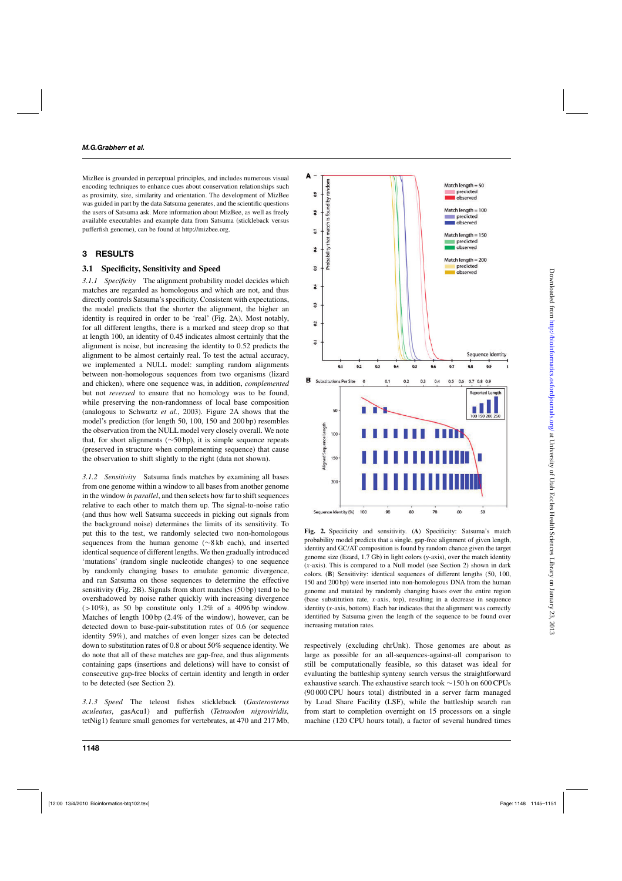MizBee is grounded in perceptual principles, and includes numerous visual encoding techniques to enhance cues about conservation relationships such as proximity, size, similarity and orientation. The development of MizBee was guided in part by the data Satsuma generates, and the scientific questions the users of Satsuma ask. More information about MizBee, as well as freely available executables and example data from Satsuma (stickleback versus pufferfish genome), can be found at [http://mizbee.org.](http://mizbee.org)

# **3 RESULTS**

#### **3.1 Specificity, Sensitivity and Speed**

*3.1.1 Specificity* The alignment probability model decides which matches are regarded as homologous and which are not, and thus directly controls Satsuma's specificity. Consistent with expectations, the model predicts that the shorter the alignment, the higher an identity is required in order to be 'real' (Fig. 2A). Most notably, for all different lengths, there is a marked and steep drop so that at length 100, an identity of 0.45 indicates almost certainly that the alignment is noise, but increasing the identity to 0.52 predicts the alignment to be almost certainly real. To test the actual accuracy, we implemented a NULL model: sampling random alignments between non-homologous sequences from two organisms (lizard and chicken), where one sequence was, in addition, *complemented* but not *reversed* to ensure that no homology was to be found, while preserving the non-randomness of local base composition (analogous to Schwartz *et al.*, 2003). Figure 2A shows that the model's prediction (for length 50, 100, 150 and 200 bp) resembles the observation from the NULL model very closely overall. We note that, for short alignments (∼50 bp), it is simple sequence repeats (preserved in structure when complementing sequence) that cause the observation to shift slightly to the right (data not shown).

*3.1.2 Sensitivity* Satsuma finds matches by examining all bases from one genome within a window to all bases from another genome in the window *in parallel*, and then selects how far to shift sequences relative to each other to match them up. The signal-to-noise ratio (and thus how well Satsuma succeeds in picking out signals from the background noise) determines the limits of its sensitivity. To put this to the test, we randomly selected two non-homologous sequences from the human genome (∼8 kb each), and inserted identical sequence of different lengths. We then gradually introduced 'mutations' (random single nucleotide changes) to one sequence by randomly changing bases to emulate genomic divergence, and ran Satsuma on those sequences to determine the effective sensitivity (Fig. 2B). Signals from short matches (50 bp) tend to be overshadowed by noise rather quickly with increasing divergence  $(>10\%)$ , as 50 bp constitute only 1.2% of a 4096 bp window. Matches of length 100 bp (2.4% of the window), however, can be detected down to base-pair-substitution rates of 0.6 (or sequence identity 59%), and matches of even longer sizes can be detected down to substitution rates of 0.8 or about 50% sequence identity. We do note that all of these matches are gap-free, and thus alignments containing gaps (insertions and deletions) will have to consist of consecutive gap-free blocks of certain identity and length in order to be detected (see Section 2).

*3.1.3 Speed* The teleost fishes stickleback (*Gasterosterus aculeatus*, gasAcu1) and pufferfish (*Tetraodon nigroviridis,* tetNig1) feature small genomes for vertebrates, at 470 and 217 Mb,



**Fig. 2.** Specificity and sensitivity. (**A**) Specificity: Satsuma's match probability model predicts that a single, gap-free alignment of given length, identity and GC/AT composition is found by random chance given the target genome size (lizard, 1.7 Gb) in light colors (*y*-axis), over the match identity (*x*-axis). This is compared to a Null model (see Section 2) shown in dark colors. (**B**) Sensitivity: identical sequences of different lengths (50, 100, 150 and 200 bp) were inserted into non-homologous DNA from the human genome and mutated by randomly changing bases over the entire region (base substitution rate, *x*-axis, top), resulting in a decrease in sequence identity (*x*-axis, bottom). Each bar indicates that the alignment was correctly identified by Satsuma given the length of the sequence to be found over increasing mutation rates.

respectively (excluding chrUnk). Those genomes are about as large as possible for an all-sequences-against-all comparison to still be computationally feasible, so this dataset was ideal for evaluating the battleship synteny search versus the straightforward exhaustive search. The exhaustive search took ∼150 h on 600 CPUs (90 000 CPU hours total) distributed in a server farm managed by Load Share Facility (LSF), while the battleship search ran from start to completion overnight on 15 processors on a single machine (120 CPU hours total), a factor of several hundred times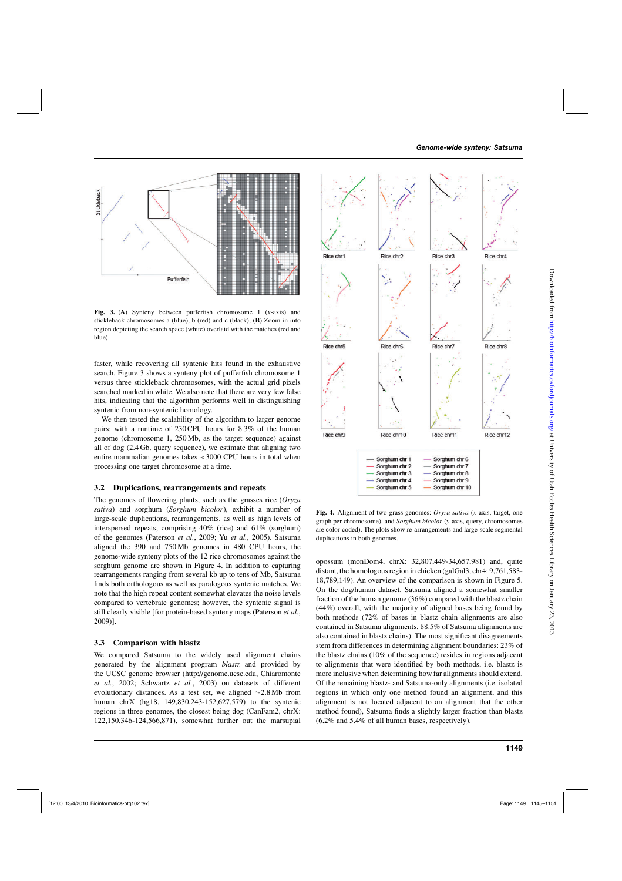

**Fig. 3.** (**A**) Synteny between pufferfish chromosome 1 (*x*-axis) and stickleback chromosomes a (blue), b (red) and c (black), (**B**) Zoom-in into region depicting the search space (white) overlaid with the matches (red and blue).

faster, while recovering all syntenic hits found in the exhaustive search. Figure 3 shows a synteny plot of pufferfish chromosome 1 versus three stickleback chromosomes, with the actual grid pixels searched marked in white. We also note that there are very few false hits, indicating that the algorithm performs well in distinguishing syntenic from non-syntenic homology.

We then tested the scalability of the algorithm to larger genome pairs: with a runtime of 230 CPU hours for 8.3% of the human genome (chromosome 1, 250 Mb, as the target sequence) against all of dog (2.4 Gb, query sequence), we estimate that aligning two entire mammalian genomes takes <3000 CPU hours in total when processing one target chromosome at a time.

#### **3.2 Duplications, rearrangements and repeats**

The genomes of flowering plants, such as the grasses rice (*Oryza sativa*) and sorghum (*Sorghum bicolor*), exhibit a number of large-scale duplications, rearrangements, as well as high levels of interspersed repeats, comprising 40% (rice) and 61% (sorghum) of the genomes (Paterson *et al.*, 2009; Yu *et al.*, 2005). Satsuma aligned the 390 and 750 Mb genomes in 480 CPU hours, the genome-wide synteny plots of the 12 rice chromosomes against the sorghum genome are shown in Figure 4. In addition to capturing rearrangements ranging from several kb up to tens of Mb, Satsuma finds both orthologous as well as paralogous syntenic matches. We note that the high repeat content somewhat elevates the noise levels compared to vertebrate genomes; however, the syntenic signal is still clearly visible [for protein-based synteny maps (Paterson *et al.*, 2009)].

# **3.3 Comparison with blastz**

We compared Satsuma to the widely used alignment chains generated by the alignment program *blastz* and provided by the UCSC genome browser ([http://genome.ucsc.edu,](http://genome.ucsc.edu) Chiaromonte *et al.*, 2002; Schwartz *et al.*, 2003) on datasets of different evolutionary distances. As a test set, we aligned ∼2.8 Mb from human chrX (hg18, 149,830,243-152,627,579) to the syntenic regions in three genomes, the closest being dog (CanFam2, chrX: 122,150,346-124,566,871), somewhat further out the marsupial



**Fig. 4.** Alignment of two grass genomes: *Oryza sativa* (*x*-axis, target, one graph per chromosome), and *Sorghum bicolor* (*y*-axis, query, chromosomes are color-coded). The plots show re-arrangements and large-scale segmental duplications in both genomes.

opossum (monDom4, chrX: 32,807,449-34,657,981) and, quite distant, the homologous region in chicken (galGal3, chr4: 9,761,583- 18,789,149). An overview of the comparison is shown in Figure 5. On the dog/human dataset, Satsuma aligned a somewhat smaller fraction of the human genome (36%) compared with the blastz chain (44%) overall, with the majority of aligned bases being found by both methods (72% of bases in blastz chain alignments are also contained in Satsuma alignments, 88.5% of Satsuma alignments are also contained in blastz chains). The most significant disagreements stem from differences in determining alignment boundaries: 23% of the blastz chains (10% of the sequence) resides in regions adjacent to alignments that were identified by both methods, i.e. blastz is more inclusive when determining how far alignments should extend. Of the remaining blastz- and Satsuma-only alignments (i.e. isolated regions in which only one method found an alignment, and this alignment is not located adjacent to an alignment that the other method found), Satsuma finds a slightly larger fraction than blastz (6.2% and 5.4% of all human bases, respectively).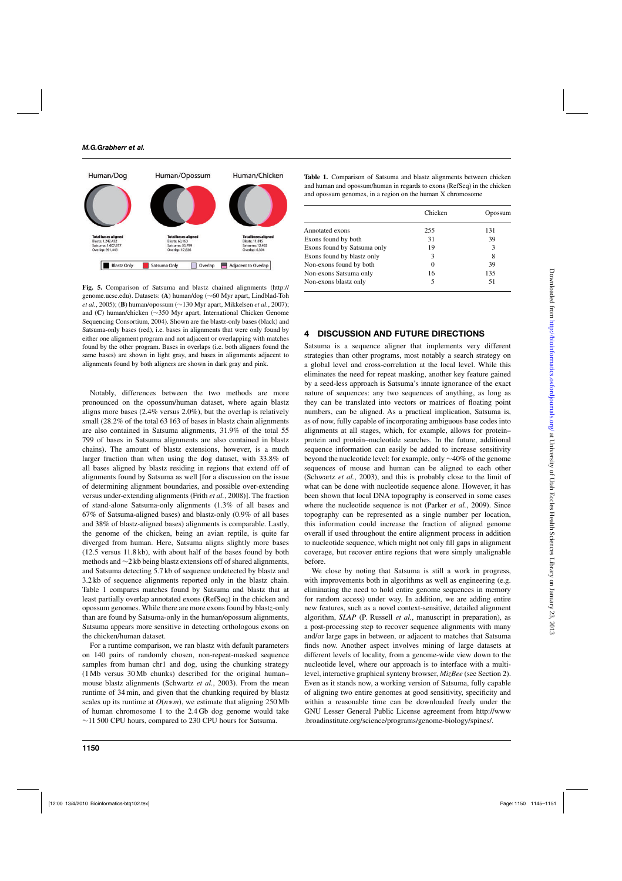

**Fig. 5.** Comparison of Satsuma and blastz chained alignments [\(http://](http://) genome.ucsc.edu). Datasets: (**A**) human/dog (∼60 Myr apart, Lindblad-Toh *et al.*, 2005); (**B**) human/opossum (∼130 Myr apart, Mikkelsen *et al.*, 2007); and (**C**) human/chicken (∼350 Myr apart, International Chicken Genome Sequencing Consortium, 2004). Shown are the blastz-only bases (black) and Satsuma-only bases (red), i.e. bases in alignments that were only found by either one alignment program and not adjacent or overlapping with matches found by the other program. Bases in overlaps (i.e. both aligners found the same bases) are shown in light gray, and bases in alignments adjacent to alignments found by both aligners are shown in dark gray and pink.

Notably, differences between the two methods are more pronounced on the opossum/human dataset, where again blastz aligns more bases (2.4% versus 2.0%), but the overlap is relatively small (28.2% of the total 63 163 of bases in blastz chain alignments are also contained in Satsuma alignments, 31.9% of the total 55 799 of bases in Satsuma alignments are also contained in blastz chains). The amount of blastz extensions, however, is a much larger fraction than when using the dog dataset, with 33.8% of all bases aligned by blastz residing in regions that extend off of alignments found by Satsuma as well [for a discussion on the issue of determining alignment boundaries, and possible over-extending versus under-extending alignments (Frith *et al.*, 2008)]. The fraction of stand-alone Satsuma-only alignments (1.3% of all bases and 67% of Satsuma-aligned bases) and blastz-only (0.9% of all bases and 38% of blastz-aligned bases) alignments is comparable. Lastly, the genome of the chicken, being an avian reptile, is quite far diverged from human. Here, Satsuma aligns slightly more bases (12.5 versus 11.8 kb), with about half of the bases found by both methods and ∼2 kb being blastz extensions off of shared alignments, and Satsuma detecting 5.7 kb of sequence undetected by blastz and 3.2 kb of sequence alignments reported only in the blastz chain. Table 1 compares matches found by Satsuma and blastz that at least partially overlap annotated exons (RefSeq) in the chicken and opossum genomes. While there are more exons found by blast*z*-only than are found by Satsuma-only in the human/opossum alignments, Satsuma appears more sensitive in detecting orthologous exons on the chicken/human dataset.

For a runtime comparison, we ran blastz with default parameters on 140 pairs of randomly chosen, non-repeat-masked sequence samples from human chr1 and dog, using the chunking strategy (1 Mb versus 30 Mb chunks) described for the original human– mouse blastz alignments (Schwartz *et al.*, 2003). From the mean runtime of 34 min, and given that the chunking required by blastz scales up its runtime at  $O(n*m)$ , we estimate that aligning 250 Mb of human chromosome 1 to the 2.4 Gb dog genome would take ∼11 500 CPU hours, compared to 230 CPU hours for Satsuma.

**Table 1.** Comparison of Satsuma and blastz alignments between chicken and human and opossum/human in regards to exons (RefSeq) in the chicken and opossum genomes, in a region on the human X chromosome

|                             | Chicken  | Opossum |
|-----------------------------|----------|---------|
| Annotated exons             | 255      | 131     |
| Exons found by both         | 31       | 39      |
| Exons found by Satsuma only | 19       | 3       |
| Exons found by blastz only  | 3        | 8       |
| Non-exons found by both     | $\Omega$ | 39      |
| Non-exons Satsuma only      | 16       | 135     |
| Non-exons blastz only       | 5        | 51      |

#### **4 DISCUSSION AND FUTURE DIRECTIONS**

Satsuma is a sequence aligner that implements very different strategies than other programs, most notably a search strategy on a global level and cross-correlation at the local level. While this eliminates the need for repeat masking, another key feature gained by a seed-less approach is Satsuma's innate ignorance of the exact nature of sequences: any two sequences of anything, as long as they can be translated into vectors or matrices of floating point numbers, can be aligned. As a practical implication, Satsuma is, as of now, fully capable of incorporating ambiguous base codes into alignments at all stages, which, for example, allows for protein– protein and protein–nucleotide searches. In the future, additional sequence information can easily be added to increase sensitivity beyond the nucleotide level: for example, only ∼40% of the genome sequences of mouse and human can be aligned to each other (Schwartz *et al.*, 2003), and this is probably close to the limit of what can be done with nucleotide sequence alone. However, it has been shown that local DNA topography is conserved in some cases where the nucleotide sequence is not (Parker *et al.*, 2009). Since topography can be represented as a single number per location, this information could increase the fraction of aligned genome overall if used throughout the entire alignment process in addition to nucleotide sequence, which might not only fill gaps in alignment coverage, but recover entire regions that were simply unalignable before.

We close by noting that Satsuma is still a work in progress, with improvements both in algorithms as well as engineering (e.g. eliminating the need to hold entire genome sequences in memory for random access) under way. In addition, we are adding entire new features, such as a novel context-sensitive, detailed alignment algorithm, *SLAP* (P. Russell *et al.*, manuscript in preparation), as a post-processing step to recover sequence alignments with many and/or large gaps in between, or adjacent to matches that Satsuma finds now. Another aspect involves mining of large datasets at different levels of locality, from a genome-wide view down to the nucleotide level, where our approach is to interface with a multilevel, interactive graphical synteny browser, *MizBee* (see Section 2). Even as it stands now, a working version of Satsuma, fully capable of aligning two entire genomes at good sensitivity, specificity and within a reasonable time can be downloaded freely under the GNU Lesser General Public License agreement from<http://www> .broadinstitute.org/science/programs/genome-biology/spines/.